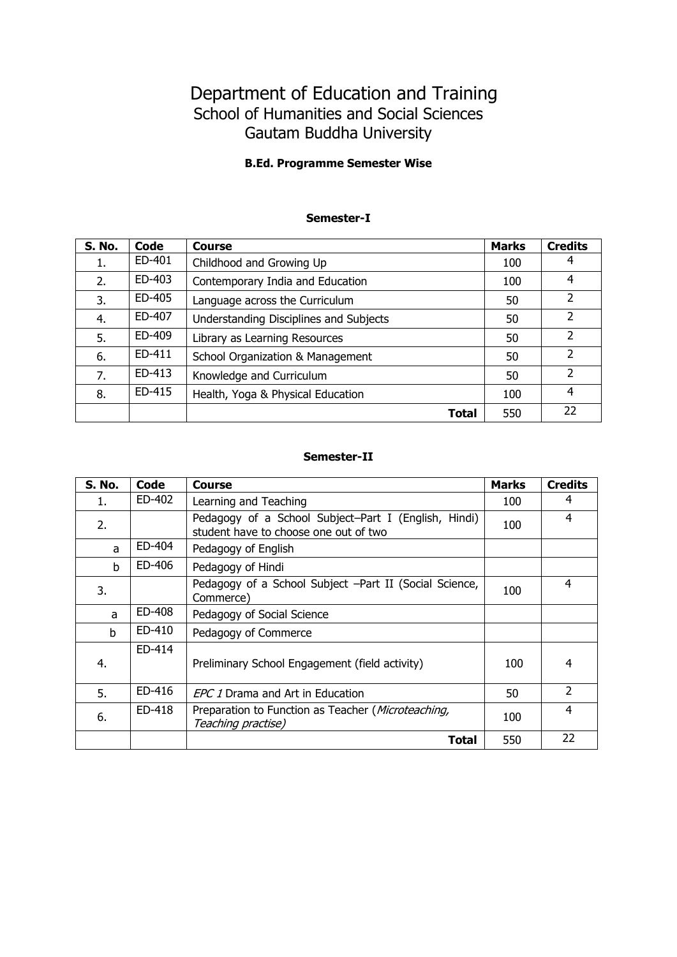# Department of Education and Training School of Humanities and Social Sciences Gautam Buddha University

## **B.Ed. Programme Semester Wise**

| <b>S. No.</b> | Code     | <b>Course</b>                          | <b>Marks</b> | <b>Credits</b> |
|---------------|----------|----------------------------------------|--------------|----------------|
| ı.            | ED-401   | Childhood and Growing Up               | 100          |                |
| 2.            | $ED-403$ | Contemporary India and Education       | 100          | 4              |
| 3.            | ED-405   | Language across the Curriculum         | 50           | $\mathcal{P}$  |
| 4.            | ED-407   | Understanding Disciplines and Subjects | 50           | $\mathfrak{p}$ |
| 5.            | ED-409   | Library as Learning Resources          | 50           | $\mathcal{P}$  |
| 6.            | ED-411   | School Organization & Management       | 50           | $\mathcal{P}$  |
| 7.            | ED-413   | Knowledge and Curriculum               | 50           | $\mathcal{P}$  |
| 8.            | ED-415   | Health, Yoga & Physical Education      | 100          | 4              |
|               |          | <b>Total</b>                           | 550          | 22             |

### **Semester-I**

#### **Semester-II**

| <b>S. No.</b> | Code   | Course                                                                                        | Marks | <b>Credits</b> |
|---------------|--------|-----------------------------------------------------------------------------------------------|-------|----------------|
| 1.            | ED-402 | Learning and Teaching                                                                         | 100   | 4              |
| 2.            |        | Pedagogy of a School Subject-Part I (English, Hindi)<br>student have to choose one out of two | 100   | 4              |
| a             | ED-404 | Pedagogy of English                                                                           |       |                |
| h             | ED-406 | Pedagogy of Hindi                                                                             |       |                |
| 3.            |        | Pedagogy of a School Subject -Part II (Social Science,<br>Commerce)                           | 100   | 4              |
| a             | ED-408 | Pedagogy of Social Science                                                                    |       |                |
| <sub>h</sub>  | ED-410 | Pedagogy of Commerce                                                                          |       |                |
| 4.            | ED-414 | Preliminary School Engagement (field activity)                                                | 100   | 4              |
| 5.            | ED-416 | <b>EPC 1 Drama and Art in Education</b>                                                       | 50    | $\mathcal{P}$  |
| 6.            | ED-418 | Preparation to Function as Teacher (Microteaching,<br>Teaching practise)                      | 100   | 4              |
|               |        | Total                                                                                         | 550   | 22             |